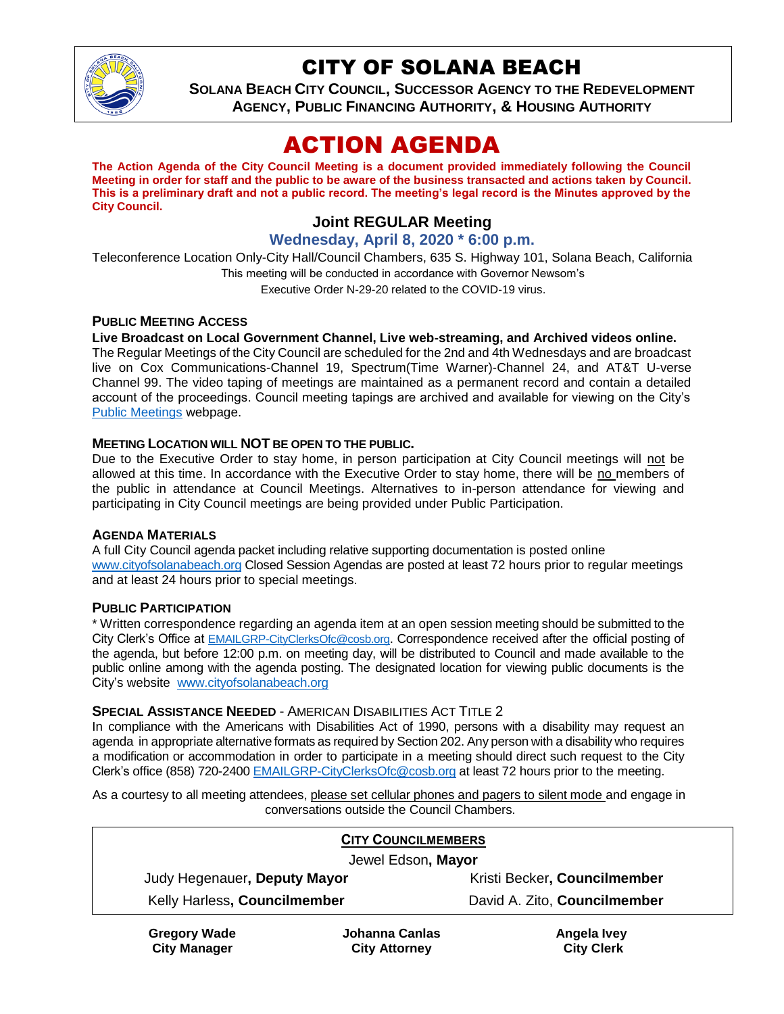

# CITY OF SOLANA BEACH

**SOLANA BEACH CITY COUNCIL, SUCCESSOR AGENCY TO THE REDEVELOPMENT AGENCY, PUBLIC FINANCING AUTHORITY, & HOUSING AUTHORITY**

# ACTION AGENDA

**The Action Agenda of the City Council Meeting is a document provided immediately following the Council Meeting in order for staff and the public to be aware of the business transacted and actions taken by Council. This is a preliminary draft and not a public record. The meeting's legal record is the Minutes approved by the City Council.**

# **Joint REGULAR Meeting**

## **Wednesday, April 8, 2020 \* 6:00 p.m.**

Teleconference Location Only-City Hall/Council Chambers, 635 S. Highway 101, Solana Beach, California This meeting will be conducted in accordance with Governor Newsom's Executive Order N-29-20 related to the COVID-19 virus.

#### **PUBLIC MEETING ACCESS**

#### **Live Broadcast on Local Government Channel, Live web-streaming, and Archived videos online.**

The Regular Meetings of the City Council are scheduled for the 2nd and 4th Wednesdays and are broadcast live on Cox Communications-Channel 19, Spectrum(Time Warner)-Channel 24, and AT&T U-verse Channel 99. The video taping of meetings are maintained as a permanent record and contain a detailed account of the proceedings. Council meeting tapings are archived and available for viewing on the City's [Public Meetings](https://urldefense.proofpoint.com/v2/url?u=https-3A__www.ci.solana-2Dbeach.ca.us_index.asp-3FSEC-3DF0F1200D-2D21C6-2D4A88-2D8AE1-2D0BC07C1A81A7-26Type-3DB-5FBASIC&d=DwMFAg&c=euGZstcaTDllvimEN8b7jXrwqOf-v5A_CdpgnVfiiMM&r=1XAsCUuqwK_tji2t0s1uIQ&m=wny2RVfZJ2tN24LkqZmkUWNpwL_peNtTZUBlTBZiMM4&s=WwpcEQpHHkFen6nS6q2waMuQ_VMZ-i1YZ60lD-dYRRE&e=) webpage.

#### **MEETING LOCATION WILL NOT BE OPEN TO THE PUBLIC.**

Due to the Executive Order to stay home, in person participation at City Council meetings will not be allowed at this time. In accordance with the Executive Order to stay home, there will be no members of the public in attendance at Council Meetings. Alternatives to in-person attendance for viewing and participating in City Council meetings are being provided under Public Participation.

#### **AGENDA MATERIALS**

A full City Council agenda packet including relative supporting documentation is posted online [www.cityofsolanabeach.org](https://urldefense.proofpoint.com/v2/url?u=http-3A__www.cityofsolanabeach.org&d=DwQFAg&c=euGZstcaTDllvimEN8b7jXrwqOf-v5A_CdpgnVfiiMM&r=1XAsCUuqwK_tji2t0s1uIQ&m=wny2RVfZJ2tN24LkqZmkUWNpwL_peNtTZUBlTBZiMM4&s=6ATguqxJUOD7VVtloplAbyuyNaVcEh6Fl4q1iw55lCY&e=) Closed Session Agendas are posted at least 72 hours prior to regular meetings and at least 24 hours prior to special meetings.

#### **PUBLIC PARTICIPATION**

\* Written correspondence regarding an agenda item at an open session meeting should be submitted to the City Clerk's Office at [EMAILGRP-CityClerksOfc@cosb.org](mailto:EMAILGRP-CityClerksOfc@cosb.org). Correspondence received after the official posting of the agenda, but before 12:00 p.m. on meeting day, will be distributed to Council and made available to the public online among with the agenda posting. The designated location for viewing public documents is the City's website [www.cityofsolanabeach.org](http://www.cityofsolanabeach.org/)

#### **SPECIAL ASSISTANCE NEEDED** - AMERICAN DISABILITIES ACT TITLE 2

In compliance with the Americans with Disabilities Act of 1990, persons with a disability may request an agenda in appropriate alternative formats as required by Section 202. Any person with a disability who requires a modification or accommodation in order to participate in a meeting should direct such request to the City Clerk's office (858) 720-2400 [EMAILGRP-CityClerksOfc@cosb.org](mailto:EMAILGRP-CityClerksOfc@cosb.org) at least 72 hours prior to the meeting.

As a courtesy to all meeting attendees, please set cellular phones and pagers to silent mode and engage in conversations outside the Council Chambers.

| <b>CITY COUNCILMEMBERS</b><br>Jewel Edson, Mayor |                              |
|--------------------------------------------------|------------------------------|
|                                                  |                              |
| Kelly Harless, Councilmember                     | David A. Zito, Councilmember |
|                                                  |                              |

**Gregory Wade City Manager**

**Johanna Canlas City Attorney**

**Angela Ivey City Clerk**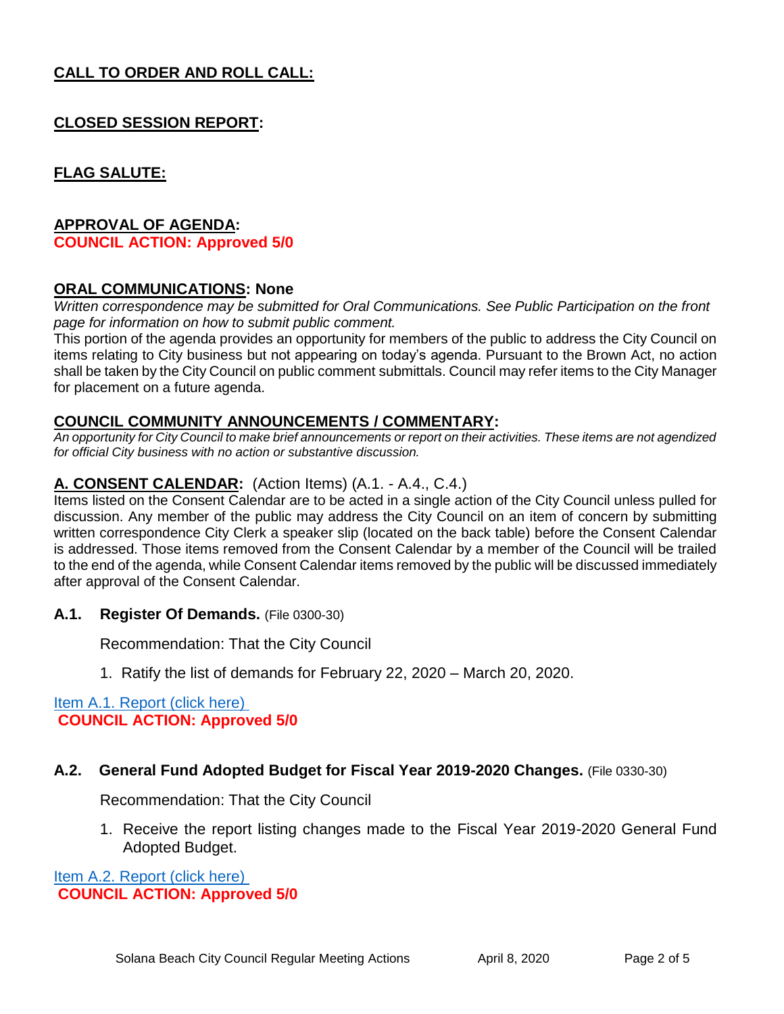# **CALL TO ORDER AND ROLL CALL:**

## **CLOSED SESSION REPORT:**

# **FLAG SALUTE:**

#### **APPROVAL OF AGENDA:**

**COUNCIL ACTION: Approved 5/0**

## **ORAL COMMUNICATIONS: None**

*Written correspondence may be submitted for Oral Communications. See Public Participation on the front page for information on how to submit public comment.* 

This portion of the agenda provides an opportunity for members of the public to address the City Council on items relating to City business but not appearing on today's agenda. Pursuant to the Brown Act, no action shall be taken by the City Council on public comment submittals. Council may refer items to the City Manager for placement on a future agenda.

#### **COUNCIL COMMUNITY ANNOUNCEMENTS / COMMENTARY:**

*An opportunity for City Council to make brief announcements or report on their activities. These items are not agendized for official City business with no action or substantive discussion.* 

#### **A. CONSENT CALENDAR:** (Action Items) (A.1. - A.4., C.4.)

Items listed on the Consent Calendar are to be acted in a single action of the City Council unless pulled for discussion. Any member of the public may address the City Council on an item of concern by submitting written correspondence City Clerk a speaker slip (located on the back table) before the Consent Calendar is addressed. Those items removed from the Consent Calendar by a member of the Council will be trailed to the end of the agenda, while Consent Calendar items removed by the public will be discussed immediately after approval of the Consent Calendar.

#### **A.1. Register Of Demands.** (File 0300-30)

Recommendation: That the City Council

1. Ratify the list of demands for February 22, 2020 – March 20, 2020.

#### [Item A.1. Report \(click here\)](https://solanabeach.govoffice3.com/vertical/Sites/%7B840804C2-F869-4904-9AE3-720581350CE7%7D/uploads/Item_A.1._Report_(click_here)_04-08-20_-_O.pdf)  **COUNCIL ACTION: Approved 5/0**

#### **A.2. General Fund Adopted Budget for Fiscal Year 2019-2020 Changes.** (File 0330-30)

Recommendation: That the City Council

1. Receive the report listing changes made to the Fiscal Year 2019-2020 General Fund [Adopted Budget.](https://solanabeach.govoffice3.com/vertical/Sites/%7B840804C2-F869-4904-9AE3-720581350CE7%7D/uploads/Item_A.2._Report_(click_here)_04-08-20_-_O.pdf)

[Item A.2. Report \(click here\)](https://solanabeach.govoffice3.com/vertical/Sites/%7B840804C2-F869-4904-9AE3-720581350CE7%7D/uploads/Item_A.2._Report_(click_here)_04-08-20_-_O.pdf)  **COUNCIL ACTION: Approved 5/0**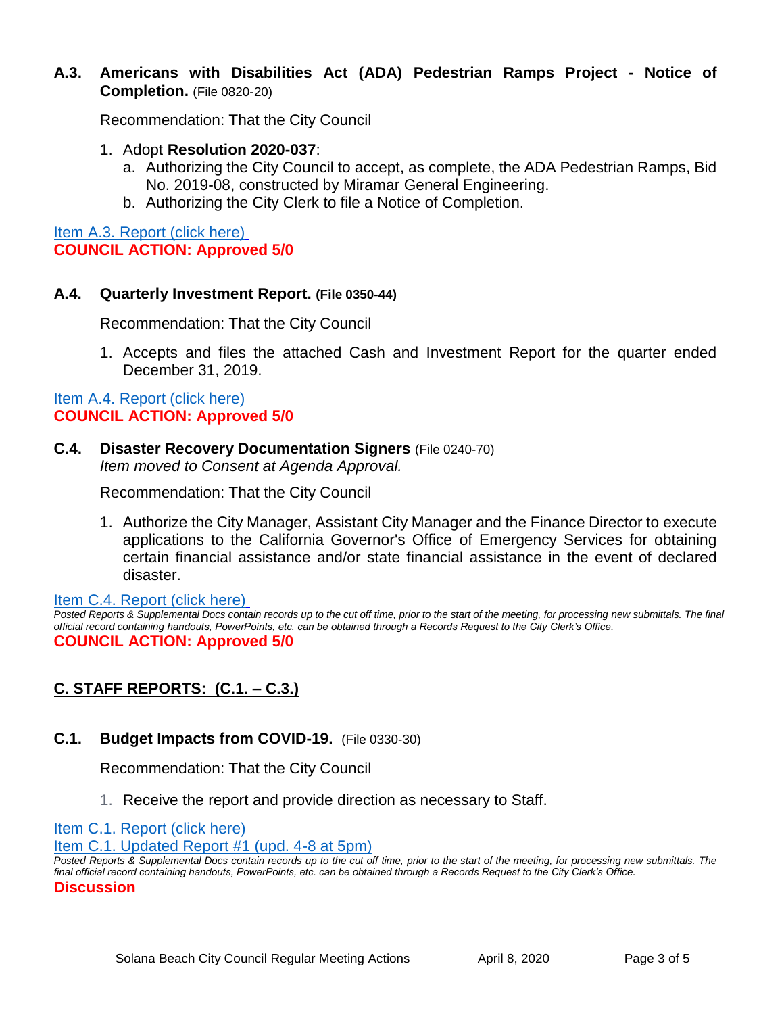#### **A.3. Americans with Disabilities Act (ADA) Pedestrian Ramps Project - Notice of Completion.** (File 0820-20)

Recommendation: That the City Council

- 1. Adopt **Resolution 2020-037**:
	- a. Authorizing the City Council to accept, as complete, the ADA Pedestrian Ramps, Bid No. 2019-08, constructed by Miramar General Engineering.
	- b. Authorizing the City Clerk to file a Notice of Completion.

[Item A.3. Report \(click here\)](https://solanabeach.govoffice3.com/vertical/Sites/%7B840804C2-F869-4904-9AE3-720581350CE7%7D/uploads/Item_A.3._Report_(click_here)_04-08-20_-_O.pdf) **COUNCIL ACTION: Approved 5/0**

#### **A.4. Quarterly Investment Report. (File 0350-44)**

Recommendation: That the City Council

1. Accepts and files the attached Cash and Investment Report for the quarter ended December 31, 2019.

## [Item A.4. Report \(click here\)](https://solanabeach.govoffice3.com/vertical/Sites/%7B840804C2-F869-4904-9AE3-720581350CE7%7D/uploads/Item_A.4._Report_(click_here)_04-08-20_-_O.pdf) **COUNCIL ACTION: Approved 5/0**

#### **C.4. Disaster Recovery Documentation Signers** (File 0240-70) *Item moved to Consent at Agenda Approval.*

Recommendation: That the City Council

1. Authorize the City Manager, Assistant City Manager and the Finance Director to execute applications to the California Governor's Office of Emergency Services for obtaining certain financial assistance and/or state financial assistance in the event of declared disaster.

#### [Item C.4. Report \(click here\)](https://solanabeach.govoffice3.com/vertical/Sites/%7B840804C2-F869-4904-9AE3-720581350CE7%7D/uploads/Item_C.4._Report_(click_here)_04-08-20_-_O.pdf)

*Posted Reports & Supplemental Docs contain records up to the cut off time, prior to the start of the meeting, for processing new submittals. The final official record containing handouts, PowerPoints, etc. can be obtained through a Records Request to the City Clerk's Office.* **COUNCIL ACTION: Approved 5/0**

# **C. STAFF REPORTS: (C.1. – C.3.)**

## **C.1. Budget Impacts from COVID-19.** (File 0330-30)

Recommendation: That the City Council

1. Receive the report and provide direction as necessary to Staff.

[Item C.1. Report \(click here\)](https://solanabeach.govoffice3.com/vertical/Sites/%7B840804C2-F869-4904-9AE3-720581350CE7%7D/uploads/Item_C.1._Report_(click_here)_04-08-20_-_O.pdf)

[Item C.1. Updated Report #1 \(upd. 4-8 at 5pm\)](https://solanabeach.govoffice3.com/vertical/Sites/%7B840804C2-F869-4904-9AE3-720581350CE7%7D/uploads/Item_C.1._Staff_Report_Update_1_(updated_4-8_at_418pm).pdf)

*Posted Reports & Supplemental Docs contain records up to the cut off time, prior to the start of the meeting, for processing new submittals. The final official record containing handouts, PowerPoints, etc. can be obtained through a Records Request to the City Clerk's Office.*

**Discussion**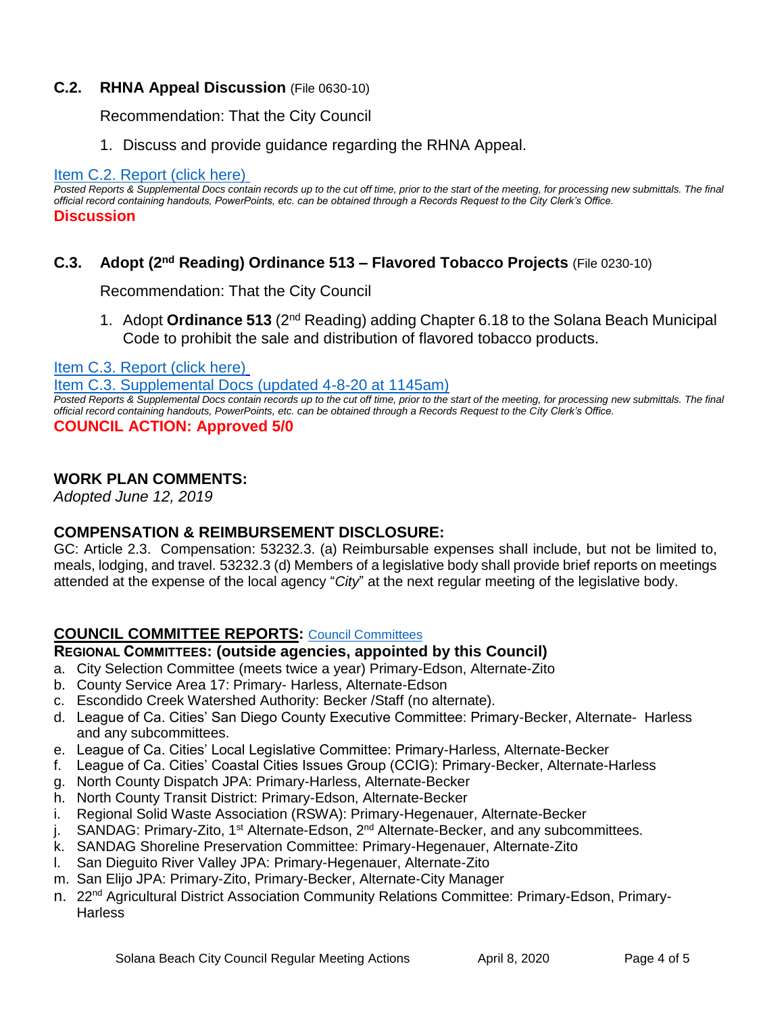## **C.2. RHNA Appeal Discussion** (File 0630-10)

Recommendation: That the City Council

1. Discuss and provide guidance regarding the RHNA Appeal.

#### [Item C.2. Report \(click here\)](https://solanabeach.govoffice3.com/vertical/Sites/%7B840804C2-F869-4904-9AE3-720581350CE7%7D/uploads/Item_C.2._Report_(click_here)_04-08-20_-_O.pdf)

*Posted Reports & Supplemental Docs contain records up to the cut off time, prior to the start of the meeting, for processing new submittals. The final official record containing handouts, PowerPoints, etc. can be obtained through a Records Request to the City Clerk's Office.* **Discussion**

## **C.3. Adopt (2nd Reading) Ordinance 513 – Flavored Tobacco Projects** (File 0230-10)

Recommendation: That the City Council

1. Adopt **Ordinance 513** (2nd Reading) adding Chapter 6.18 to the Solana Beach Municipal Code to prohibit the sale and distribution of flavored tobacco products.

[Item C.3. Report \(click here\)](https://solanabeach.govoffice3.com/vertical/Sites/%7B840804C2-F869-4904-9AE3-720581350CE7%7D/uploads/Item_C.3._Report_(click_here)_04-08-20_-_O.pdf)

[Item C.3. Supplemental Docs \(updated 4-8-20](https://solanabeach.govoffice3.com/vertical/Sites/%7B840804C2-F869-4904-9AE3-720581350CE7%7D/uploads/Item_C.3._Supplemental_Docs_(upd._4-8_at_1135am)_-_O.pdf) at 1145am)

Posted Reports & Supplemental Docs contain records up to the cut off time, prior to the start of the meeting, for processing new submittals. The final *official record containing handouts, PowerPoints, etc. can be obtained through a Records Request to the City Clerk's Office.* **COUNCIL ACTION: Approved 5/0**

## **WORK PLAN COMMENTS:**

*Adopted June 12, 2019*

## **COMPENSATION & REIMBURSEMENT DISCLOSURE:**

GC: Article 2.3. Compensation: 53232.3. (a) Reimbursable expenses shall include, but not be limited to, meals, lodging, and travel. 53232.3 (d) Members of a legislative body shall provide brief reports on meetings attended at the expense of the local agency "*City*" at the next regular meeting of the legislative body.

## **COUNCIL COMMITTEE REPORTS:** [Council Committees](https://www.ci.solana-beach.ca.us/index.asp?SEC=584E1192-3850-46EA-B977-088AC3E81E0D&Type=B_BASIC)

- **REGIONAL COMMITTEES: (outside agencies, appointed by this Council)**
- a. City Selection Committee (meets twice a year) Primary-Edson, Alternate-Zito
- b. County Service Area 17: Primary- Harless, Alternate-Edson
- c. Escondido Creek Watershed Authority: Becker /Staff (no alternate).
- d. League of Ca. Cities' San Diego County Executive Committee: Primary-Becker, Alternate- Harless and any subcommittees.
- e. League of Ca. Cities' Local Legislative Committee: Primary-Harless, Alternate-Becker
- f. League of Ca. Cities' Coastal Cities Issues Group (CCIG): Primary-Becker, Alternate-Harless
- g. North County Dispatch JPA: Primary-Harless, Alternate-Becker
- h. North County Transit District: Primary-Edson, Alternate-Becker
- i. Regional Solid Waste Association (RSWA): Primary-Hegenauer, Alternate-Becker
- j. SANDAG: Primary-Zito, 1<sup>st</sup> Alternate-Edson, 2<sup>nd</sup> Alternate-Becker, and any subcommittees.
- k. SANDAG Shoreline Preservation Committee: Primary-Hegenauer, Alternate-Zito
- l. San Dieguito River Valley JPA: Primary-Hegenauer, Alternate-Zito
- m. San Elijo JPA: Primary-Zito, Primary-Becker, Alternate-City Manager
- n. 22<sup>nd</sup> Agricultural District Association Community Relations Committee: Primary-Edson, Primary-**Harless**